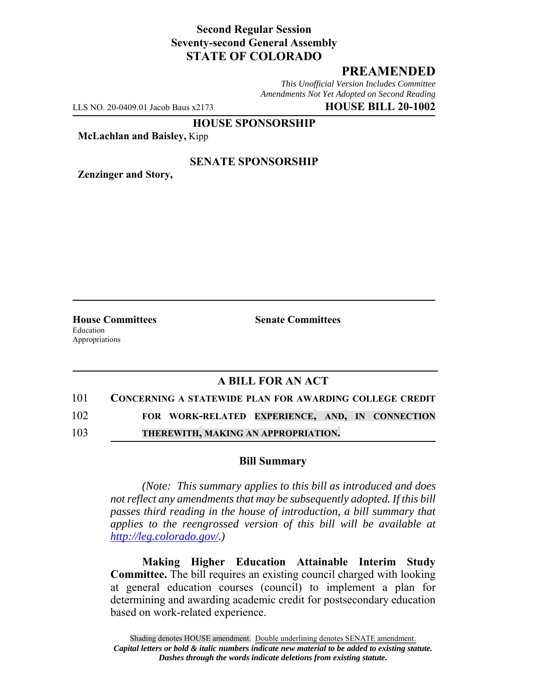## **Second Regular Session Seventy-second General Assembly STATE OF COLORADO**

# **PREAMENDED**

*This Unofficial Version Includes Committee Amendments Not Yet Adopted on Second Reading*

LLS NO. 20-0409.01 Jacob Baus x2173 **HOUSE BILL 20-1002**

**HOUSE SPONSORSHIP**

**McLachlan and Baisley,** Kipp

### **SENATE SPONSORSHIP**

**Zenzinger and Story,**

Education Appropriations

**House Committees Senate Committees** 

## **A BILL FOR AN ACT**

### 101 **CONCERNING A STATEWIDE PLAN FOR AWARDING COLLEGE CREDIT**

102 **FOR WORK-RELATED EXPERIENCE, AND, IN CONNECTION**

103 **THEREWITH, MAKING AN APPROPRIATION.**

### **Bill Summary**

*(Note: This summary applies to this bill as introduced and does not reflect any amendments that may be subsequently adopted. If this bill passes third reading in the house of introduction, a bill summary that applies to the reengrossed version of this bill will be available at http://leg.colorado.gov/.)*

**Making Higher Education Attainable Interim Study Committee.** The bill requires an existing council charged with looking at general education courses (council) to implement a plan for determining and awarding academic credit for postsecondary education based on work-related experience.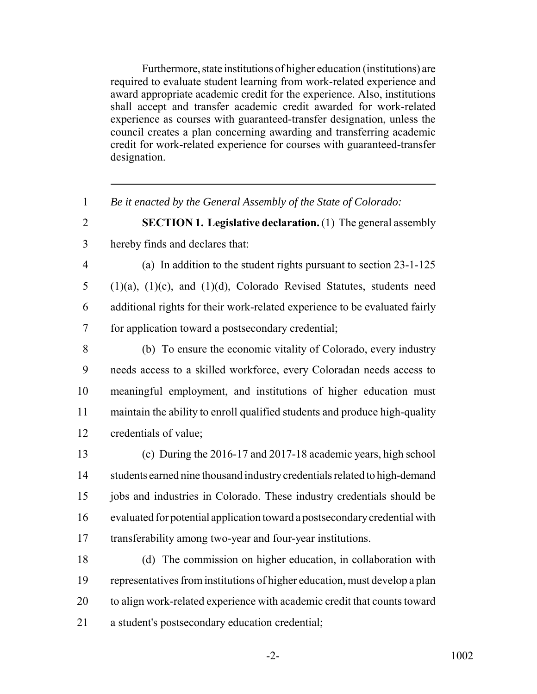Furthermore, state institutions of higher education (institutions) are required to evaluate student learning from work-related experience and award appropriate academic credit for the experience. Also, institutions shall accept and transfer academic credit awarded for work-related experience as courses with guaranteed-transfer designation, unless the council creates a plan concerning awarding and transferring academic credit for work-related experience for courses with guaranteed-transfer designation.

*Be it enacted by the General Assembly of the State of Colorado:*

 **SECTION 1. Legislative declaration.** (1) The general assembly hereby finds and declares that:

 (a) In addition to the student rights pursuant to section 23-1-125 (1)(a), (1)(c), and (1)(d), Colorado Revised Statutes, students need additional rights for their work-related experience to be evaluated fairly for application toward a postsecondary credential;

 (b) To ensure the economic vitality of Colorado, every industry needs access to a skilled workforce, every Coloradan needs access to meaningful employment, and institutions of higher education must maintain the ability to enroll qualified students and produce high-quality credentials of value;

 (c) During the 2016-17 and 2017-18 academic years, high school 14 students earned nine thousand industry credentials related to high-demand jobs and industries in Colorado. These industry credentials should be evaluated for potential application toward a postsecondary credential with transferability among two-year and four-year institutions.

 (d) The commission on higher education, in collaboration with representatives from institutions of higher education, must develop a plan to align work-related experience with academic credit that counts toward a student's postsecondary education credential;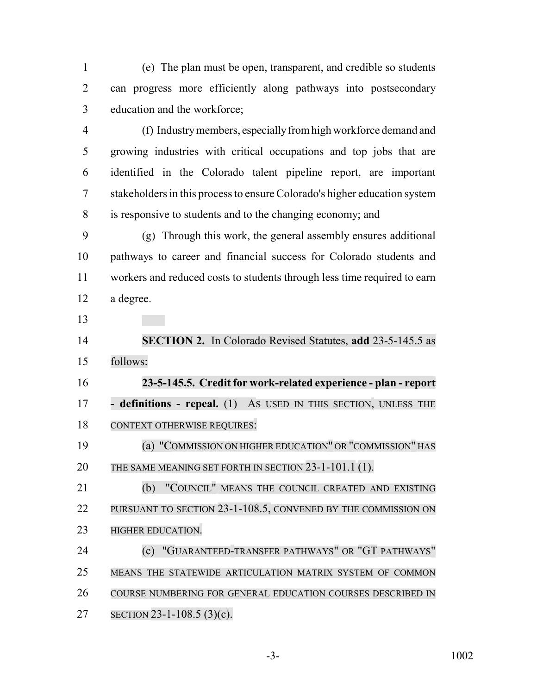(e) The plan must be open, transparent, and credible so students can progress more efficiently along pathways into postsecondary education and the workforce;

 (f) Industry members, especially from high workforce demand and growing industries with critical occupations and top jobs that are identified in the Colorado talent pipeline report, are important stakeholders in this process to ensure Colorado's higher education system is responsive to students and to the changing economy; and

 (g) Through this work, the general assembly ensures additional pathways to career and financial success for Colorado students and workers and reduced costs to students through less time required to earn a degree.

 **SECTION 2.** In Colorado Revised Statutes, **add** 23-5-145.5 as follows:

 **23-5-145.5. Credit for work-related experience - plan - report - definitions - repeal.** (1) AS USED IN THIS SECTION, UNLESS THE CONTEXT OTHERWISE REQUIRES:

 (a) "COMMISSION ON HIGHER EDUCATION" OR "COMMISSION" HAS THE SAME MEANING SET FORTH IN SECTION 23-1-101.1 (1).

21 (b) "COUNCIL" MEANS THE COUNCIL CREATED AND EXISTING PURSUANT TO SECTION 23-1-108.5, CONVENED BY THE COMMISSION ON **HIGHER EDUCATION.** 

 (c) "GUARANTEED-TRANSFER PATHWAYS" OR "GT PATHWAYS" MEANS THE STATEWIDE ARTICULATION MATRIX SYSTEM OF COMMON COURSE NUMBERING FOR GENERAL EDUCATION COURSES DESCRIBED IN SECTION 23-1-108.5 (3)(c).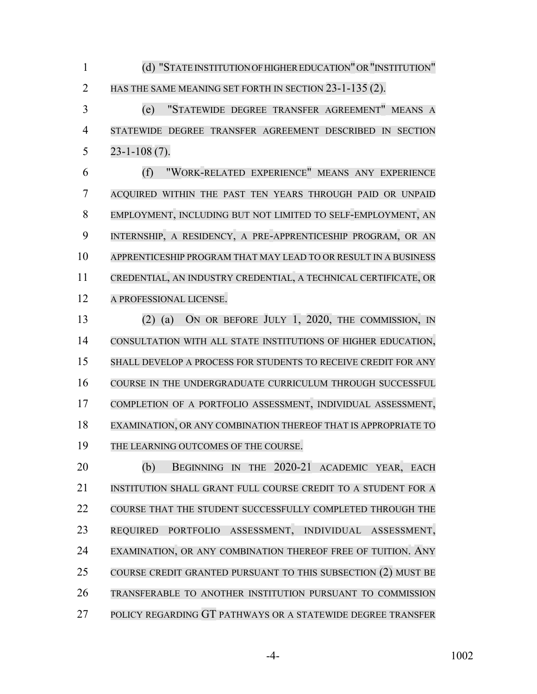1 (d) "STATE INSTITUTION OF HIGHER EDUCATION" OR "INSTITUTION" 2 HAS THE SAME MEANING SET FORTH IN SECTION 23-1-135 (2).

 (e) "STATEWIDE DEGREE TRANSFER AGREEMENT" MEANS A STATEWIDE DEGREE TRANSFER AGREEMENT DESCRIBED IN SECTION 23-1-108 (7).

 (f) "WORK-RELATED EXPERIENCE" MEANS ANY EXPERIENCE ACQUIRED WITHIN THE PAST TEN YEARS THROUGH PAID OR UNPAID EMPLOYMENT, INCLUDING BUT NOT LIMITED TO SELF-EMPLOYMENT, AN INTERNSHIP, A RESIDENCY, A PRE-APPRENTICESHIP PROGRAM, OR AN APPRENTICESHIP PROGRAM THAT MAY LEAD TO OR RESULT IN A BUSINESS CREDENTIAL, AN INDUSTRY CREDENTIAL, A TECHNICAL CERTIFICATE, OR A PROFESSIONAL LICENSE.

 (2) (a) ON OR BEFORE JULY 1, 2020, THE COMMISSION, IN CONSULTATION WITH ALL STATE INSTITUTIONS OF HIGHER EDUCATION, SHALL DEVELOP A PROCESS FOR STUDENTS TO RECEIVE CREDIT FOR ANY COURSE IN THE UNDERGRADUATE CURRICULUM THROUGH SUCCESSFUL COMPLETION OF A PORTFOLIO ASSESSMENT, INDIVIDUAL ASSESSMENT, EXAMINATION, OR ANY COMBINATION THEREOF THAT IS APPROPRIATE TO THE LEARNING OUTCOMES OF THE COURSE.

 (b) BEGINNING IN THE 2020-21 ACADEMIC YEAR, EACH INSTITUTION SHALL GRANT FULL COURSE CREDIT TO A STUDENT FOR A COURSE THAT THE STUDENT SUCCESSFULLY COMPLETED THROUGH THE REQUIRED PORTFOLIO ASSESSMENT, INDIVIDUAL ASSESSMENT, EXAMINATION, OR ANY COMBINATION THEREOF FREE OF TUITION. ANY COURSE CREDIT GRANTED PURSUANT TO THIS SUBSECTION (2) MUST BE TRANSFERABLE TO ANOTHER INSTITUTION PURSUANT TO COMMISSION POLICY REGARDING GT PATHWAYS OR A STATEWIDE DEGREE TRANSFER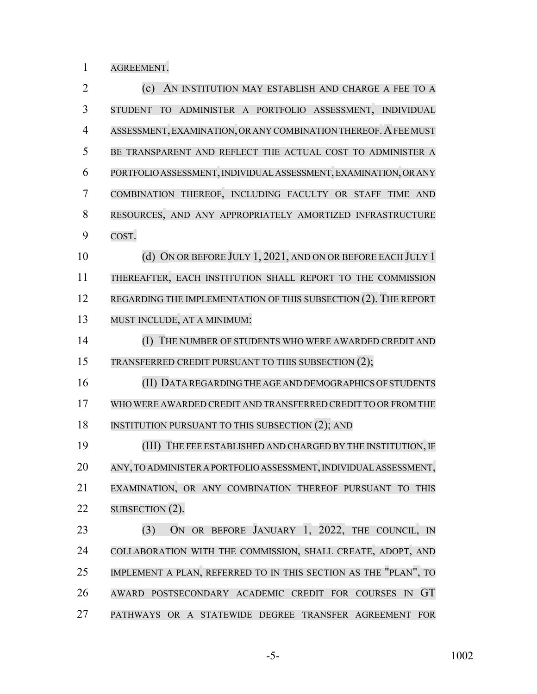AGREEMENT.

| $\overline{2}$ | (c)<br>AN INSTITUTION MAY ESTABLISH AND CHARGE A FEE TO A                    |
|----------------|------------------------------------------------------------------------------|
| 3              | ADMINISTER A PORTFOLIO ASSESSMENT, INDIVIDUAL<br><b>TO</b><br><b>STUDENT</b> |
| $\overline{4}$ | ASSESSMENT, EXAMINATION, OR ANY COMBINATION THEREOF. A FEE MUST              |
| 5              | BE TRANSPARENT AND REFLECT THE ACTUAL COST TO ADMINISTER A                   |
| 6              | PORTFOLIO ASSESSMENT, INDIVIDUAL ASSESSMENT, EXAMINATION, OR ANY             |
| 7              | COMBINATION THEREOF, INCLUDING FACULTY OR STAFF TIME AND                     |
| 8              | RESOURCES, AND ANY APPROPRIATELY AMORTIZED INFRASTRUCTURE                    |
| 9              | COST.                                                                        |
| 10             | (d) ON OR BEFORE JULY 1, 2021, AND ON OR BEFORE EACH JULY 1                  |
| 11             | THEREAFTER, EACH INSTITUTION SHALL REPORT TO THE COMMISSION                  |
| 12             | REGARDING THE IMPLEMENTATION OF THIS SUBSECTION (2). THE REPORT              |
| 13             | MUST INCLUDE, AT A MINIMUM:                                                  |
| 14             | THE NUMBER OF STUDENTS WHO WERE AWARDED CREDIT AND<br>(I)                    |
| 15             | TRANSFERRED CREDIT PURSUANT TO THIS SUBSECTION (2);                          |
| 16             | (II) DATA REGARDING THE AGE AND DEMOGRAPHICS OF STUDENTS                     |
| 17             | WHO WERE AWARDED CREDIT AND TRANSFERRED CREDIT TO OR FROM THE                |
| 18             | INSTITUTION PURSUANT TO THIS SUBSECTION (2); AND                             |
| 19             | (III) THE FEE ESTABLISHED AND CHARGED BY THE INSTITUTION, IF                 |
| 20             | ANY, TO ADMINISTER A PORTFOLIO ASSESSMENT, INDIVIDUAL ASSESSMENT,            |
| 21             | EXAMINATION, OR ANY COMBINATION THEREOF PURSUANT TO THIS                     |
| 22             | SUBSECTION $(2)$ .                                                           |
| 23             | ON OR BEFORE JANUARY 1, 2022, THE COUNCIL, IN<br>(3)                         |
| 24             | COLLABORATION WITH THE COMMISSION, SHALL CREATE, ADOPT, AND                  |
| 25             | IMPLEMENT A PLAN, REFERRED TO IN THIS SECTION AS THE "PLAN", TO              |
| 26             | <b>GT</b><br>POSTSECONDARY ACADEMIC CREDIT FOR COURSES IN<br><b>AWARD</b>    |
| 27             | PATHWAYS OR A STATEWIDE DEGREE TRANSFER AGREEMENT FOR                        |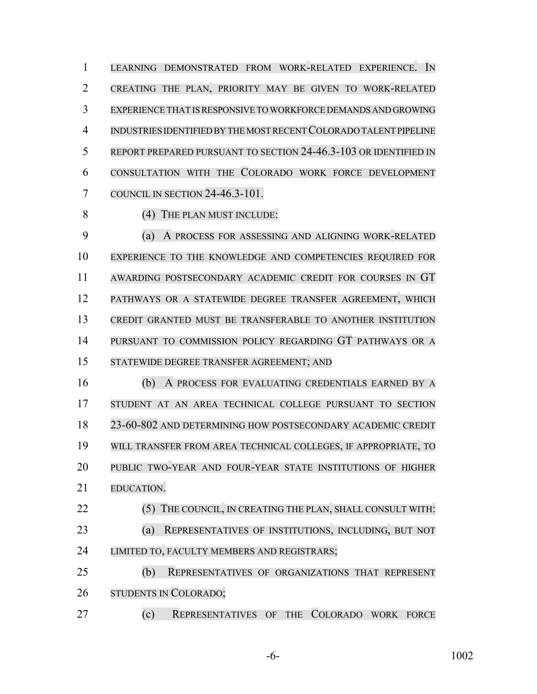LEARNING DEMONSTRATED FROM WORK-RELATED EXPERIENCE. IN CREATING THE PLAN, PRIORITY MAY BE GIVEN TO WORK-RELATED EXPERIENCE THAT IS RESPONSIVE TO WORKFORCE DEMANDS AND GROWING INDUSTRIES IDENTIFIED BY THE MOST RECENT COLORADO TALENT PIPELINE REPORT PREPARED PURSUANT TO SECTION 24-46.3-103 OR IDENTIFIED IN CONSULTATION WITH THE COLORADO WORK FORCE DEVELOPMENT COUNCIL IN SECTION 24-46.3-101.

8 (4) THE PLAN MUST INCLUDE:

 (a) A PROCESS FOR ASSESSING AND ALIGNING WORK-RELATED EXPERIENCE TO THE KNOWLEDGE AND COMPETENCIES REQUIRED FOR AWARDING POSTSECONDARY ACADEMIC CREDIT FOR COURSES IN GT PATHWAYS OR A STATEWIDE DEGREE TRANSFER AGREEMENT, WHICH CREDIT GRANTED MUST BE TRANSFERABLE TO ANOTHER INSTITUTION PURSUANT TO COMMISSION POLICY REGARDING GT PATHWAYS OR A STATEWIDE DEGREE TRANSFER AGREEMENT; AND

 (b) A PROCESS FOR EVALUATING CREDENTIALS EARNED BY A STUDENT AT AN AREA TECHNICAL COLLEGE PURSUANT TO SECTION 23-60-802 AND DETERMINING HOW POSTSECONDARY ACADEMIC CREDIT WILL TRANSFER FROM AREA TECHNICAL COLLEGES, IF APPROPRIATE, TO PUBLIC TWO-YEAR AND FOUR-YEAR STATE INSTITUTIONS OF HIGHER EDUCATION.

22 (5) THE COUNCIL, IN CREATING THE PLAN, SHALL CONSULT WITH: (a) REPRESENTATIVES OF INSTITUTIONS, INCLUDING, BUT NOT LIMITED TO, FACULTY MEMBERS AND REGISTRARS;

 (b) REPRESENTATIVES OF ORGANIZATIONS THAT REPRESENT STUDENTS IN COLORADO;

(c) REPRESENTATIVES OF THE COLORADO WORK FORCE

-6- 1002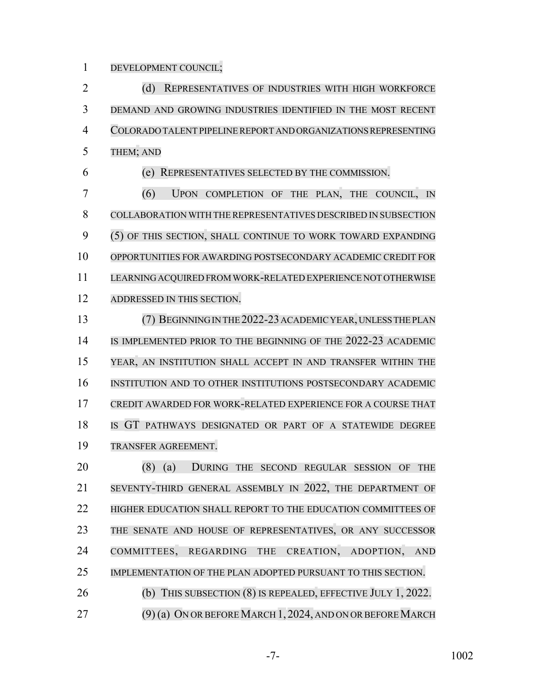DEVELOPMENT COUNCIL;

2 (d) REPRESENTATIVES OF INDUSTRIES WITH HIGH WORKFORCE DEMAND AND GROWING INDUSTRIES IDENTIFIED IN THE MOST RECENT COLORADO TALENT PIPELINE REPORT AND ORGANIZATIONS REPRESENTING THEM; AND

(e) REPRESENTATIVES SELECTED BY THE COMMISSION.

 (6) UPON COMPLETION OF THE PLAN, THE COUNCIL, IN COLLABORATION WITH THE REPRESENTATIVES DESCRIBED IN SUBSECTION (5) OF THIS SECTION, SHALL CONTINUE TO WORK TOWARD EXPANDING OPPORTUNITIES FOR AWARDING POSTSECONDARY ACADEMIC CREDIT FOR LEARNING ACQUIRED FROM WORK-RELATED EXPERIENCE NOT OTHERWISE ADDRESSED IN THIS SECTION.

13 (7) BEGINNING IN THE 2022-23 ACADEMIC YEAR, UNLESS THE PLAN 14 IS IMPLEMENTED PRIOR TO THE BEGINNING OF THE 2022-23 ACADEMIC YEAR, AN INSTITUTION SHALL ACCEPT IN AND TRANSFER WITHIN THE INSTITUTION AND TO OTHER INSTITUTIONS POSTSECONDARY ACADEMIC CREDIT AWARDED FOR WORK-RELATED EXPERIENCE FOR A COURSE THAT IS GT PATHWAYS DESIGNATED OR PART OF A STATEWIDE DEGREE TRANSFER AGREEMENT.

 (8) (a) DURING THE SECOND REGULAR SESSION OF THE SEVENTY-THIRD GENERAL ASSEMBLY IN 2022, THE DEPARTMENT OF **HIGHER EDUCATION SHALL REPORT TO THE EDUCATION COMMITTEES OF** 23 THE SENATE AND HOUSE OF REPRESENTATIVES, OR ANY SUCCESSOR 24 COMMITTEES, REGARDING THE CREATION, ADOPTION, AND IMPLEMENTATION OF THE PLAN ADOPTED PURSUANT TO THIS SECTION. 26 (b) THIS SUBSECTION (8) IS REPEALED, EFFECTIVE JULY 1, 2022.

27 (9) (a) ON OR BEFORE MARCH 1, 2024, AND ON OR BEFORE MARCH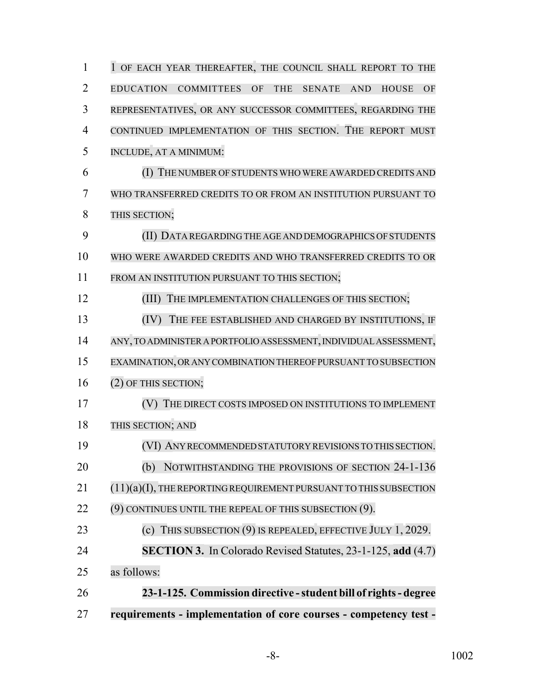| 1              | 1 OF EACH YEAR THEREAFTER, THE COUNCIL SHALL REPORT TO THE                                              |
|----------------|---------------------------------------------------------------------------------------------------------|
| $\overline{2}$ | <b>EDUCATION</b><br><b>COMMITTEES</b><br>OF<br>THE<br><b>SENATE</b><br><b>AND</b><br><b>HOUSE</b><br>OF |
| 3              | REPRESENTATIVES, OR ANY SUCCESSOR COMMITTEES, REGARDING THE                                             |
| $\overline{4}$ | CONTINUED IMPLEMENTATION OF THIS SECTION. THE REPORT MUST                                               |
| 5              | INCLUDE, AT A MINIMUM:                                                                                  |
| 6              | (I) THE NUMBER OF STUDENTS WHO WERE AWARDED CREDITS AND                                                 |
| 7              | WHO TRANSFERRED CREDITS TO OR FROM AN INSTITUTION PURSUANT TO                                           |
| 8              | THIS SECTION;                                                                                           |
| 9              | (II) DATA REGARDING THE AGE AND DEMOGRAPHICS OF STUDENTS                                                |
| 10             | WHO WERE AWARDED CREDITS AND WHO TRANSFERRED CREDITS TO OR                                              |
| 11             | FROM AN INSTITUTION PURSUANT TO THIS SECTION;                                                           |
| 12             | THE IMPLEMENTATION CHALLENGES OF THIS SECTION;<br>(III)                                                 |
| 13             | THE FEE ESTABLISHED AND CHARGED BY INSTITUTIONS, IF<br>(IV)                                             |
| 14             | ANY, TO ADMINISTER A PORTFOLIO ASSESSMENT, INDIVIDUAL ASSESSMENT,                                       |
| 15             | EXAMINATION, OR ANY COMBINATION THEREOF PURSUANT TO SUBSECTION                                          |
| 16             | (2) OF THIS SECTION;                                                                                    |
| 17             | THE DIRECT COSTS IMPOSED ON INSTITUTIONS TO IMPLEMENT                                                   |
| 18             | THIS SECTION; AND                                                                                       |
| 19             | (VI) ANY RECOMMENDED STATUTORY REVISIONS TO THIS SECTION.                                               |
| 20             | NOTWITHSTANDING THE PROVISIONS OF SECTION 24-1-136<br>(b)                                               |
| 21             | $(11)(a)(I)$ , THE REPORTING REQUIREMENT PURSUANT TO THIS SUBSECTION                                    |
| 22             | (9) CONTINUES UNTIL THE REPEAL OF THIS SUBSECTION (9).                                                  |
| 23             | (c) THIS SUBSECTION $(9)$ IS REPEALED, EFFECTIVE JULY 1, 2029.                                          |
| 24             | <b>SECTION 3.</b> In Colorado Revised Statutes, 23-1-125, add (4.7)                                     |
| 25             | as follows:                                                                                             |
| 26             | 23-1-125. Commission directive - student bill of rights - degree                                        |
| $27\,$         | requirements - implementation of core courses - competency test -                                       |